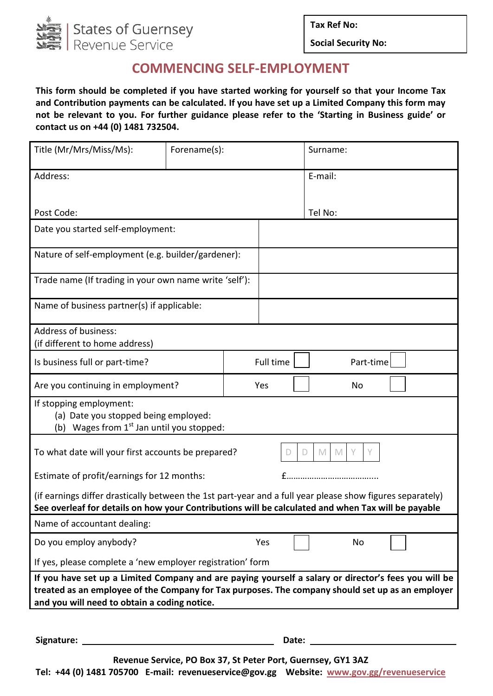

**Tax Ref No:**

**Social Security No:**

## **COMMENCING SELF-EMPLOYMENT**

**This form should be completed if you have started working for yourself so that your Income Tax and Contribution payments can be calculated. If you have set up a Limited Company this form may not be relevant to you. For further guidance please refer to the 'Starting in Business guide' or contact us on +44 (0) 1481 732504.**

| Title (Mr/Mrs/Miss/Ms):                                                                                                                                                                                                                                  | Forename(s): |  | Surname:  |         |                                                                                                                                                                                                                                |  |  |  |
|----------------------------------------------------------------------------------------------------------------------------------------------------------------------------------------------------------------------------------------------------------|--------------|--|-----------|---------|--------------------------------------------------------------------------------------------------------------------------------------------------------------------------------------------------------------------------------|--|--|--|
| Address:                                                                                                                                                                                                                                                 |              |  |           | E-mail: |                                                                                                                                                                                                                                |  |  |  |
| Post Code:                                                                                                                                                                                                                                               |              |  |           | Tel No: |                                                                                                                                                                                                                                |  |  |  |
| Date you started self-employment:                                                                                                                                                                                                                        |              |  |           |         |                                                                                                                                                                                                                                |  |  |  |
| Nature of self-employment (e.g. builder/gardener):                                                                                                                                                                                                       |              |  |           |         |                                                                                                                                                                                                                                |  |  |  |
| Trade name (If trading in your own name write 'self'):                                                                                                                                                                                                   |              |  |           |         |                                                                                                                                                                                                                                |  |  |  |
| Name of business partner(s) if applicable:                                                                                                                                                                                                               |              |  |           |         |                                                                                                                                                                                                                                |  |  |  |
| Address of business:<br>(if different to home address)                                                                                                                                                                                                   |              |  |           |         |                                                                                                                                                                                                                                |  |  |  |
| Is business full or part-time?                                                                                                                                                                                                                           |              |  | Full time |         | Part-time                                                                                                                                                                                                                      |  |  |  |
| Are you continuing in employment?                                                                                                                                                                                                                        |              |  | Yes       |         | <b>No</b>                                                                                                                                                                                                                      |  |  |  |
| If stopping employment:<br>(a) Date you stopped being employed:<br>(b) Wages from $1st$ Jan until you stopped:                                                                                                                                           |              |  |           |         |                                                                                                                                                                                                                                |  |  |  |
| To what date will your first accounts be prepared?<br>Y<br>D<br>M<br>M                                                                                                                                                                                   |              |  |           |         |                                                                                                                                                                                                                                |  |  |  |
| Estimate of profit/earnings for 12 months:                                                                                                                                                                                                               |              |  |           |         |                                                                                                                                                                                                                                |  |  |  |
| (if earnings differ drastically between the 1st part-year and a full year please show figures separately)<br>See overleaf for details on how your Contributions will be calculated and when Tax will be payable                                          |              |  |           |         |                                                                                                                                                                                                                                |  |  |  |
| Name of accountant dealing:                                                                                                                                                                                                                              |              |  |           |         |                                                                                                                                                                                                                                |  |  |  |
| Do you employ anybody?                                                                                                                                                                                                                                   |              |  | Yes       |         | No                                                                                                                                                                                                                             |  |  |  |
| If yes, please complete a 'new employer registration' form                                                                                                                                                                                               |              |  |           |         |                                                                                                                                                                                                                                |  |  |  |
| If you have set up a Limited Company and are paying yourself a salary or director's fees you will be<br>treated as an employee of the Company for Tax purposes. The company should set up as an employer<br>and you will need to obtain a coding notice. |              |  |           |         |                                                                                                                                                                                                                                |  |  |  |
|                                                                                                                                                                                                                                                          |              |  |           |         |                                                                                                                                                                                                                                |  |  |  |
| Signature:<br><u> 1989 - John Stein, amerikansk politiker (</u>                                                                                                                                                                                          |              |  |           |         | Date: the contract of the contract of the contract of the contract of the contract of the contract of the contract of the contract of the contract of the contract of the contract of the contract of the contract of the cont |  |  |  |

**Revenue Service, PO Box 37, St Peter Port, Guernsey, GY1 3AZ**

**Tel: +44 (0) 1481 705700 E-mail: revenueservice@gov.gg Website: [www.gov.gg/revenueservice](http://www.gov.gg/revenueservice)**